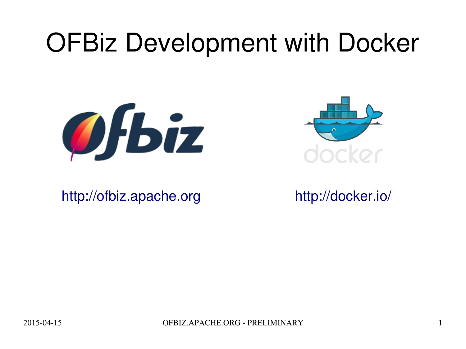## OFBiz Development with Docker





[http://ofbiz.apache.org](http://ofbiz.apache.org/) <http://docker.io/>

20150415 OFBIZ.APACHE.ORG PRELIMINARY 1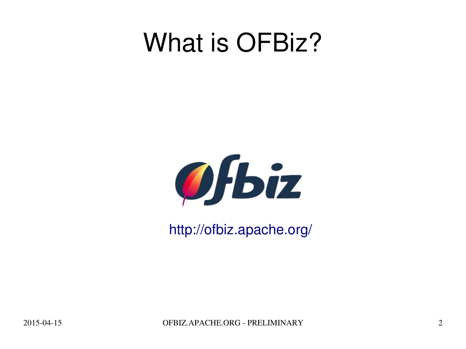### What is OFBiz?



<http://ofbiz.apache.org/>

2015-04-15 OFBIZ.APACHE.ORG - PRELIMINARY 2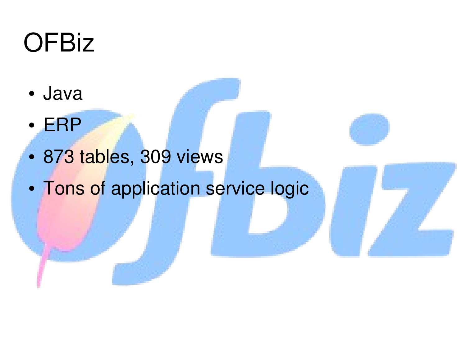# **OFBiz**

- Java
- ERP
- 873 tables, 309 views
- Tons of application service logic

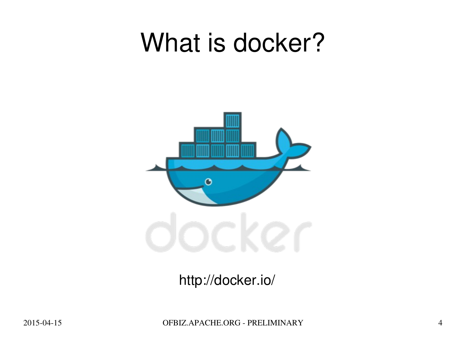### What is docker?



#### <http://docker.io/>

2015-04-15 OFBIZ.APACHE.ORG - PRELIMINARY 4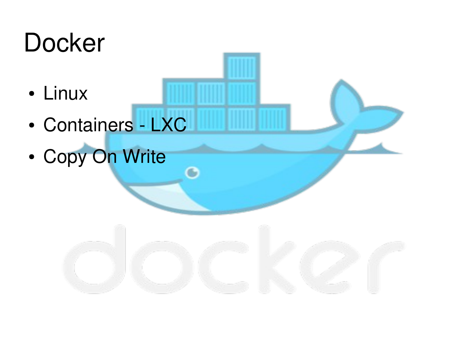# **Docker**

- Linux
- Containers LXC
- Copy On Write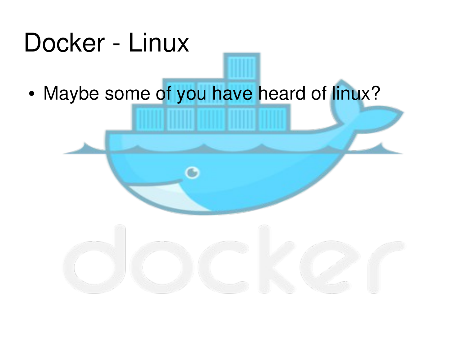

• Maybe some of you have heard of linux?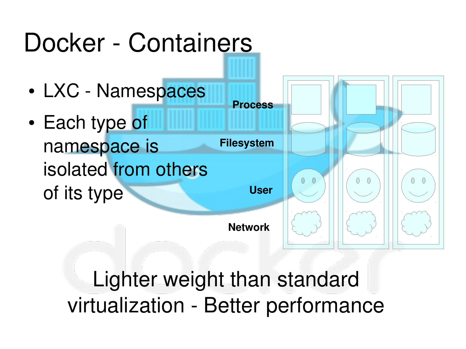#### Docker - Containers • LXC - Namespaces **Process** • Each type of namespace is **Filesystem** isolated from others  $\bigcirc$  $\bigcirc$ **User** of its type **Network**

Lighter weight than standard virtualization - Better performance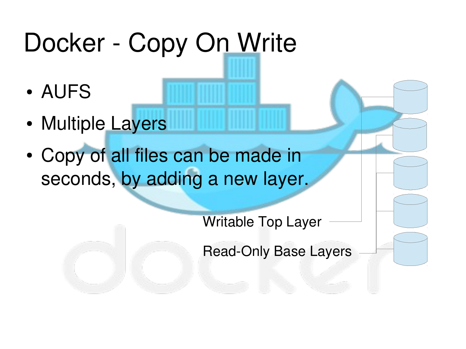# Docker - Copy On Write

- AUFS
- Multiple Layers
- Copy of all files can be made in seconds, by adding a new layer.

Writable Top Layer

Read-Only Base Layers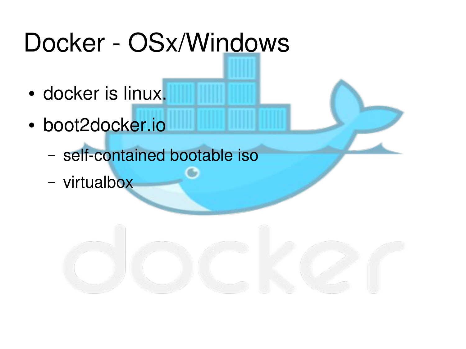# Docker - OSx/Windows

- docker is linux.
- boot2docker.io
	- self-contained bootable iso
	- virtualbox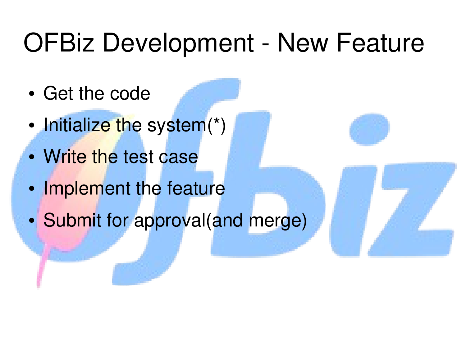## OFBiz Development - New Feature

- Get the code
- Initialize the system(\*)
- Write the test case
- Implement the feature
- Submit for approval(and merge)

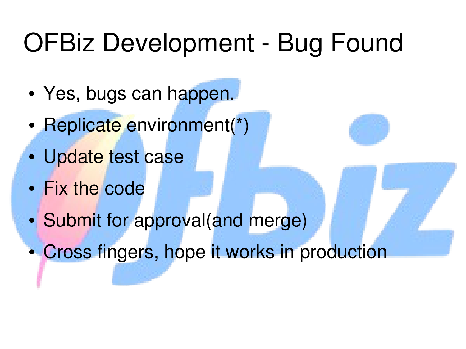# OFBiz Development - Bug Found

- Yes, bugs can happen.
- Replicate environment(\*)
- Update test case
- Fix the code
- Submit for approval(and merge)
- Cross fingers, hope it works in production

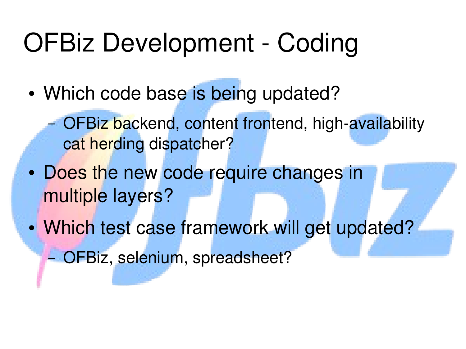## OFBiz Development - Coding

- Which code base is being updated?
	- OFBiz backend, content frontend, high-availability cat herding dispatcher?
- Does the new code require changes in multiple layers?
- Which test case framework will get updated? – OFBiz, selenium, spreadsheet?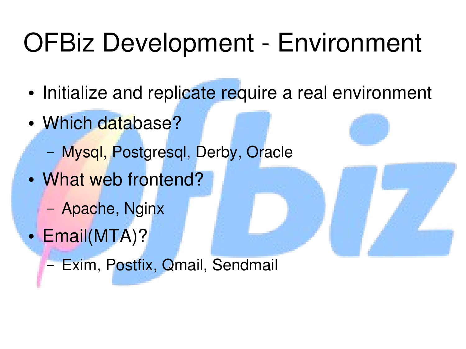# OFBiz Development - Environment

- Initialize and replicate require a real environment
- Which database?
	- Mysql, Postgresql, Derby, Oracle
- What web frontend?
	- Apache, Nginx
- Email(MTA)?

– Exim, Postfix, Qmail, Sendmail

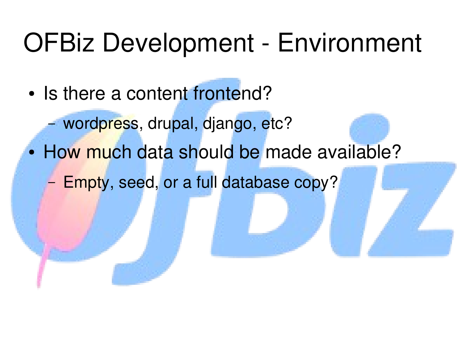### OFBiz Development - Environment

- Is there a content frontend?
	- wordpress, drupal, django, etc?
- How much data should be made available?
	- Empty, seed, or a full database copy?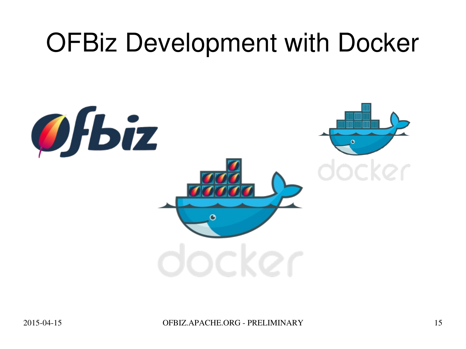## OFBiz Development with Docker

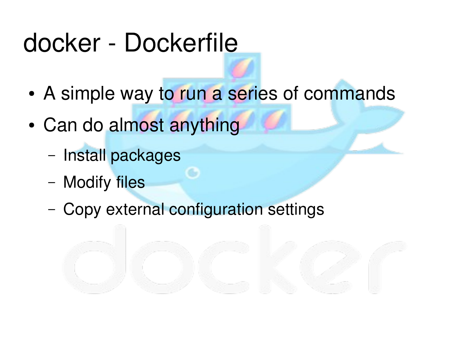## docker - Dockerfile

- A simple way to run a series of commands
- Can do almost anything
	- Install packages
	- Modify files
	- Copy external configuration settings

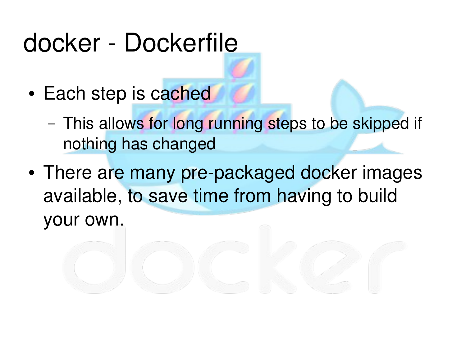### docker - Dockerfile

- Each step is cached
	- This allows for long running steps to be skipped if nothing has changed
- There are many pre-packaged docker images available, to save time from having to build your own.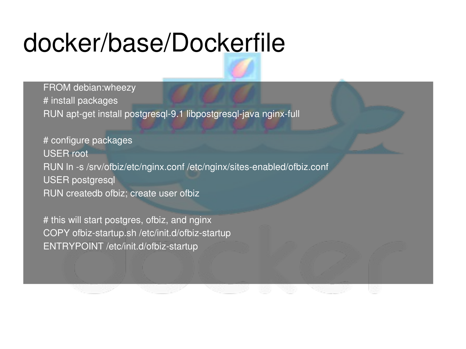## docker/base/Dockerfile

FROM debian:wheezy # install packages RUN apt-get install postgresql-9.1 libpostgresql-java nginx-full

# configure packages USER root RUN In -s /srv/ofbiz/etc/nginx.conf /etc/nginx/sites-enabled/ofbiz.conf USER postgresql RUN createdb ofbiz; create user ofbiz

# this will start postgres, ofbiz, and nginx COPY ofbiz-startup.sh /etc/init.d/ofbiz-startup ENTRYPOINT /etc/init.d/ofbiz-startup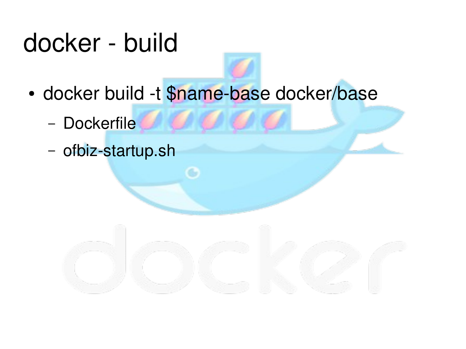# docker - build

- docker build -t \$name-base docker/base
	- Dockerfile VVII VII
	- ofbiz-startup.sh

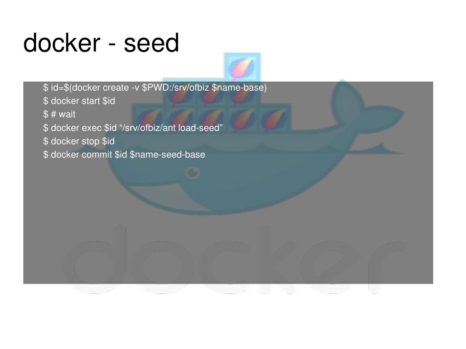#### docker - seed

\$ id=\$(docker create -v \$PWD:/srv/ofbiz \$name-base) \$ docker start \$id  $$ # wait$ \$ docker exec \$id "/srv/ofbiz/ant load-seed" \$ docker stop \$id \$ docker commit \$id \$name-seed-base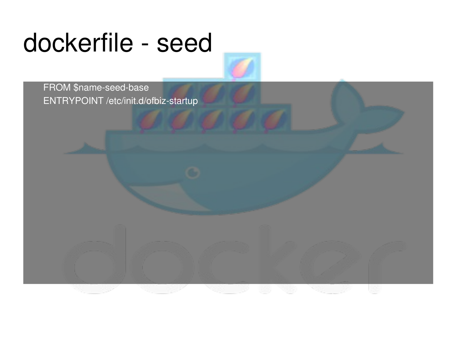## dockerfile - seed

FROM \$name-seed-base ENTRYPOINT /etc/init.d/ofbiz-startup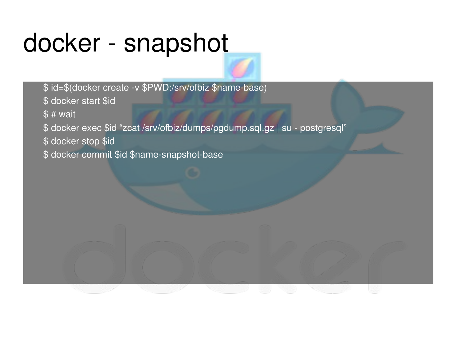### docker - snapshot

\$ id=\$(docker create -v \$PWD:/srv/ofbiz \$name-base) \$ docker start \$id \$ # wait \$ docker exec \$id "zcat /srv/ofbiz/dumps/pgdump.sql.gz | su - postgresql" \$ docker stop \$id \$ docker commit \$id \$name-snapshot-base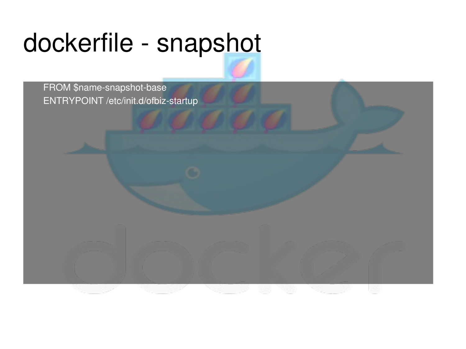# dockerfile - snapshot

FROM \$name-snapshot-base ENTRYPOINT /etc/init.d/ofbiz-startup